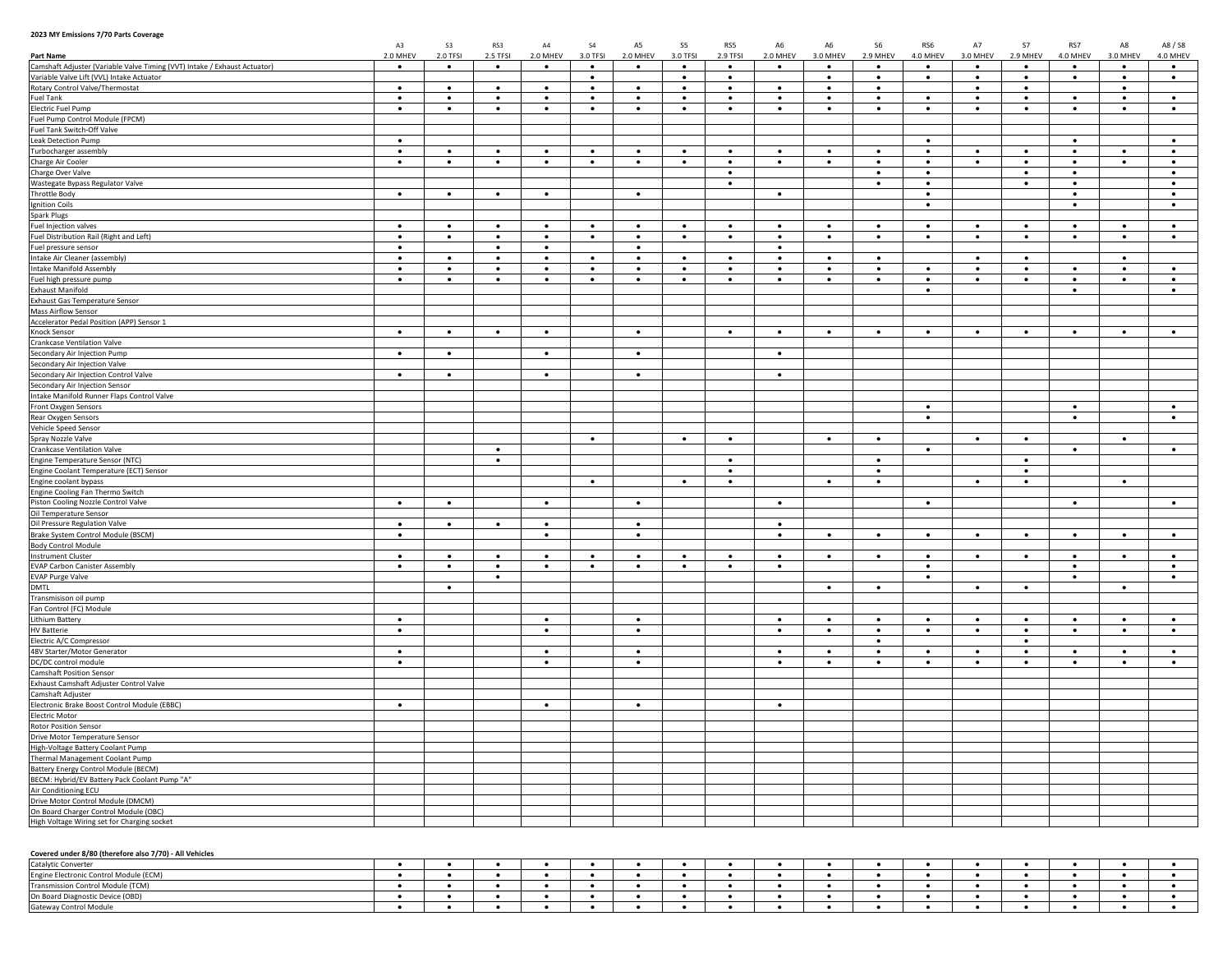## **2023 MY Emissions 7/70 Parts Coverage**

| zuzo ivi i Elilissions 7770 Fails Coverage                                 | A3        | <b>S3</b> | RS3       | $\mathsf{A}4$ | \$4       | A5        | S5        | RS5       | A6        | A <sub>6</sub> | S6        | RS6       | A7        | <b>S7</b> | RS7       | A8        | A8 / S8   |
|----------------------------------------------------------------------------|-----------|-----------|-----------|---------------|-----------|-----------|-----------|-----------|-----------|----------------|-----------|-----------|-----------|-----------|-----------|-----------|-----------|
| Part Name                                                                  | 2.0 MHEV  | 2.0 TFSI  | 2.5 TFSI  | 2.0 MHEV      | 3.0 TFSI  | 2.0 MHEV  | 3.0 TFSI  | 2.9 TFSI  | 2.0 MHEV  | 3.0 MHEV       | 2.9 MHEV  | 4.0 MHEV  | 3.0 MHEV  | 2.9 MHEV  | 4.0 MHEV  | 3.0 MHEV  | 4.0 MHEV  |
| Camshaft Adjuster (Variable Valve Timing (VVT) Intake / Exhaust Actuator)  | $\bullet$ | $\bullet$ | $\bullet$ | $\bullet$     | $\bullet$ | $\bullet$ | $\bullet$ | $\bullet$ | $\bullet$ | $\bullet$      | $\bullet$ | $\bullet$ | $\bullet$ | $\bullet$ | $\bullet$ | $\bullet$ | $\bullet$ |
| Variable Valve Lift (VVL) Intake Actuator                                  |           |           |           |               | $\bullet$ |           | $\bullet$ | $\bullet$ |           | $\bullet$      | $\bullet$ | $\bullet$ | $\bullet$ | $\bullet$ | $\bullet$ | $\bullet$ | $\bullet$ |
| Rotary Control Valve/Thermostat                                            | $\bullet$ | $\bullet$ | $\bullet$ | $\bullet$     | $\bullet$ | $\bullet$ | $\bullet$ | $\bullet$ | $\bullet$ | $\bullet$      | $\bullet$ |           | $\bullet$ | $\bullet$ |           | $\bullet$ |           |
| <b>Fuel Tank</b>                                                           | $\bullet$ | $\bullet$ | $\bullet$ | $\bullet$     | $\bullet$ | $\bullet$ | $\bullet$ | $\bullet$ | $\bullet$ | $\bullet$      | $\bullet$ | $\bullet$ | $\bullet$ | $\bullet$ | $\bullet$ | $\bullet$ | $\bullet$ |
| Electric Fuel Pump                                                         | $\bullet$ | $\bullet$ | $\bullet$ | $\bullet$     | $\bullet$ | $\bullet$ | $\bullet$ | $\bullet$ | $\bullet$ | $\bullet$      | $\bullet$ | $\bullet$ | $\bullet$ | $\bullet$ | $\bullet$ | $\bullet$ | $\bullet$ |
| Fuel Pump Control Module (FPCM)                                            |           |           |           |               |           |           |           |           |           |                |           |           |           |           |           |           |           |
| Fuel Tank Switch-Off Valve                                                 |           |           |           |               |           |           |           |           |           |                |           |           |           |           |           |           |           |
| Leak Detection Pump                                                        | $\bullet$ |           |           |               |           |           |           |           |           |                |           | $\bullet$ |           |           | $\bullet$ |           | $\bullet$ |
| Turbocharger assembly                                                      | $\bullet$ | $\bullet$ | $\bullet$ | $\bullet$     | $\bullet$ | $\bullet$ | $\bullet$ | $\bullet$ | $\bullet$ | $\bullet$      | $\bullet$ | $\bullet$ | $\bullet$ | $\bullet$ | $\bullet$ | $\bullet$ | $\bullet$ |
| Charge Air Cooler                                                          | $\bullet$ | $\bullet$ | $\bullet$ | $\bullet$     | $\bullet$ | $\bullet$ | $\bullet$ | $\bullet$ | $\bullet$ | $\bullet$      | $\bullet$ | $\bullet$ | $\bullet$ | $\bullet$ | $\bullet$ | $\bullet$ | $\bullet$ |
| Charge Over Valve                                                          |           |           |           |               |           |           |           | $\bullet$ |           |                | $\bullet$ | $\bullet$ |           | $\bullet$ | $\bullet$ |           | $\bullet$ |
| Wastegate Bypass Regulator Valve                                           |           |           |           |               |           |           |           | $\bullet$ |           |                | $\bullet$ | $\bullet$ |           | $\bullet$ | $\bullet$ |           | $\bullet$ |
| <b>Throttle Body</b>                                                       | $\bullet$ | $\bullet$ | $\bullet$ | $\bullet$     |           | $\bullet$ |           |           | $\bullet$ |                |           | $\bullet$ |           |           | $\bullet$ |           | $\bullet$ |
| <b>Ignition Coils</b>                                                      |           |           |           |               |           |           |           |           |           |                |           | $\bullet$ |           |           | $\bullet$ |           | $\bullet$ |
| <b>Spark Plugs</b>                                                         |           |           |           |               |           |           |           |           |           |                |           |           |           |           |           |           |           |
| Fuel Injection valves                                                      | $\bullet$ | $\bullet$ | $\bullet$ | $\bullet$     | $\bullet$ | $\bullet$ | $\bullet$ | $\bullet$ | $\bullet$ | $\bullet$      | $\bullet$ | $\bullet$ | $\bullet$ | $\bullet$ | $\bullet$ | $\bullet$ | $\bullet$ |
| Fuel Distribution Rail (Right and Left)                                    | $\bullet$ | $\bullet$ | $\bullet$ | $\bullet$     | $\bullet$ | $\bullet$ | $\bullet$ | $\bullet$ | $\bullet$ | $\bullet$      | $\bullet$ | $\bullet$ | $\bullet$ | $\bullet$ | $\bullet$ | $\bullet$ | $\bullet$ |
| Fuel pressure sensor                                                       | $\bullet$ |           | $\bullet$ | $\bullet$     |           | $\bullet$ |           |           | $\bullet$ |                |           |           |           |           |           |           |           |
| Intake Air Cleaner (assembly)                                              | $\bullet$ | $\bullet$ | $\bullet$ | $\bullet$     | $\bullet$ | $\bullet$ | $\bullet$ | $\bullet$ | $\bullet$ | $\bullet$      | $\bullet$ |           | $\bullet$ | $\bullet$ |           | $\bullet$ |           |
| Intake Manifold Assembly                                                   | $\bullet$ | $\bullet$ | $\bullet$ | $\bullet$     | $\bullet$ | $\bullet$ | $\bullet$ | $\bullet$ | $\bullet$ | $\bullet$      | $\bullet$ | $\bullet$ | $\bullet$ | $\bullet$ | $\bullet$ | $\bullet$ | $\bullet$ |
| Fuel high pressure pump                                                    | $\bullet$ | $\bullet$ | $\bullet$ | $\bullet$     | $\bullet$ | $\bullet$ | $\bullet$ | $\bullet$ | $\bullet$ | $\bullet$      | $\bullet$ | $\bullet$ | $\bullet$ | $\bullet$ | $\bullet$ | $\bullet$ | $\bullet$ |
| <b>Exhaust Manifold</b>                                                    |           |           |           |               |           |           |           |           |           |                |           | $\bullet$ |           |           | $\bullet$ |           | $\bullet$ |
| <b>Exhaust Gas Temperature Sensor</b>                                      |           |           |           |               |           |           |           |           |           |                |           |           |           |           |           |           |           |
| Mass Airflow Sensor                                                        |           |           |           |               |           |           |           |           |           |                |           |           |           |           |           |           |           |
| Accelerator Pedal Position (APP) Sensor 1                                  |           |           |           |               |           |           |           |           |           |                |           |           |           |           |           |           |           |
| Knock Sensor                                                               | $\bullet$ | $\bullet$ | $\bullet$ | $\bullet$     |           | $\bullet$ |           | $\bullet$ | $\bullet$ | $\bullet$      | $\bullet$ | $\bullet$ | $\bullet$ | $\bullet$ | $\bullet$ | $\bullet$ | $\bullet$ |
| <b>Crankcase Ventilation Valve</b>                                         |           |           |           |               |           |           |           |           |           |                |           |           |           |           |           |           |           |
| Secondary Air Injection Pump                                               | $\bullet$ | $\bullet$ |           | $\bullet$     |           | $\bullet$ |           |           | $\bullet$ |                |           |           |           |           |           |           |           |
| Secondary Air Injection Valve                                              |           |           |           |               |           |           |           |           |           |                |           |           |           |           |           |           |           |
| Secondary Air Injection Control Valve                                      | $\bullet$ | $\bullet$ |           | $\bullet$     |           | $\bullet$ |           |           | $\bullet$ |                |           |           |           |           |           |           |           |
| Secondary Air Injection Sensor                                             |           |           |           |               |           |           |           |           |           |                |           |           |           |           |           |           |           |
| Intake Manifold Runner Flaps Control Valve                                 |           |           |           |               |           |           |           |           |           |                |           |           |           |           |           |           |           |
| Front Oxygen Sensors                                                       |           |           |           |               |           |           |           |           |           |                |           | $\bullet$ |           |           | $\bullet$ |           | $\bullet$ |
| Rear Oxygen Sensors                                                        |           |           |           |               |           |           |           |           |           |                |           | $\bullet$ |           |           | $\bullet$ |           | $\bullet$ |
| Vehicle Speed Sensor                                                       |           |           |           |               |           |           |           |           |           |                |           |           |           |           |           |           |           |
| Spray Nozzle Valve<br>Crankcase Ventilation Valve                          |           |           | $\bullet$ |               | $\bullet$ |           | $\bullet$ | $\bullet$ |           | $\bullet$      | $\bullet$ | $\bullet$ | $\bullet$ | $\bullet$ | $\bullet$ | $\bullet$ | $\bullet$ |
|                                                                            |           |           | $\bullet$ |               |           |           |           | $\bullet$ |           |                | $\bullet$ |           |           | $\bullet$ |           |           |           |
| Engine Temperature Sensor (NTC)<br>Engine Coolant Temperature (ECT) Sensor |           |           |           |               |           |           |           | $\bullet$ |           |                | $\bullet$ |           |           | $\bullet$ |           |           |           |
| Engine coolant bypass                                                      |           |           |           |               | $\bullet$ |           | $\bullet$ | $\bullet$ |           | $\bullet$      | $\bullet$ |           | $\bullet$ | $\bullet$ |           | $\bullet$ |           |
| Engine Cooling Fan Thermo Switch                                           |           |           |           |               |           |           |           |           |           |                |           |           |           |           |           |           |           |
| Piston Cooling Nozzle Control Valve                                        | $\bullet$ | $\bullet$ |           | $\bullet$     |           | $\bullet$ |           |           | $\bullet$ |                |           | $\bullet$ |           |           | $\bullet$ |           | $\bullet$ |
| Oil Temperature Sensor                                                     |           |           |           |               |           |           |           |           |           |                |           |           |           |           |           |           |           |
| Oil Pressure Regulation Valve                                              | $\bullet$ | $\bullet$ | $\bullet$ | $\bullet$     |           | $\bullet$ |           |           | $\bullet$ |                |           |           |           |           |           |           |           |
| Brake System Control Module (BSCM)                                         | $\bullet$ |           |           | $\bullet$     |           | $\bullet$ |           |           | $\bullet$ | $\bullet$      | $\bullet$ | $\bullet$ | $\bullet$ | $\bullet$ | $\bullet$ | $\bullet$ | $\bullet$ |
| <b>Body Control Module</b>                                                 |           |           |           |               |           |           |           |           |           |                |           |           |           |           |           |           |           |
| <b>Instrument Cluster</b>                                                  | $\bullet$ | $\bullet$ | $\bullet$ | $\bullet$     | $\bullet$ | $\bullet$ | $\bullet$ | $\bullet$ | $\bullet$ | $\bullet$      | $\bullet$ | $\bullet$ | $\bullet$ | $\bullet$ | $\bullet$ | $\bullet$ | $\bullet$ |
| <b>EVAP Carbon Canister Assembly</b>                                       | $\bullet$ | $\bullet$ | $\bullet$ | $\bullet$     | $\bullet$ | $\bullet$ | $\bullet$ | $\bullet$ | $\bullet$ |                |           | $\bullet$ |           |           | $\bullet$ |           | $\bullet$ |
| <b>EVAP Purge Valve</b>                                                    |           |           | $\bullet$ |               |           |           |           |           |           |                |           | $\bullet$ |           |           | $\bullet$ |           | $\bullet$ |
| <b>DMTL</b>                                                                |           | $\bullet$ |           |               |           |           |           |           |           | $\bullet$      | $\bullet$ |           | $\bullet$ | $\bullet$ |           | $\bullet$ |           |
| Transmisison oil pump                                                      |           |           |           |               |           |           |           |           |           |                |           |           |           |           |           |           |           |
| Fan Control (FC) Module                                                    |           |           |           |               |           |           |           |           |           |                |           |           |           |           |           |           |           |
| <b>Lithium Battery</b>                                                     | $\bullet$ |           |           | $\bullet$     |           | $\bullet$ |           |           | $\bullet$ | $\bullet$      | $\bullet$ | $\bullet$ | $\bullet$ | $\bullet$ | $\bullet$ | $\bullet$ | $\bullet$ |
| <b>HV Batterie</b>                                                         | $\bullet$ |           |           | $\bullet$     |           | $\bullet$ |           |           | $\bullet$ | $\bullet$      | $\bullet$ | $\bullet$ | $\bullet$ | $\bullet$ | $\bullet$ | $\bullet$ | $\bullet$ |
| Electric A/C Compressor                                                    |           |           |           |               |           |           |           |           |           |                | $\bullet$ |           |           | $\bullet$ |           |           |           |
| 48V Starter/Motor Generator                                                | $\bullet$ |           |           | $\bullet$     |           | $\bullet$ |           |           | $\bullet$ | $\bullet$      | $\bullet$ | $\bullet$ | $\bullet$ | $\bullet$ | $\bullet$ | $\bullet$ | $\bullet$ |
| DC/DC control module                                                       | $\bullet$ |           |           | $\bullet$     |           | $\bullet$ |           |           | $\bullet$ | $\bullet$      | $\bullet$ | $\bullet$ | $\bullet$ | $\bullet$ | $\bullet$ | $\bullet$ | $\bullet$ |
| <b>Camshaft Position Sensor</b>                                            |           |           |           |               |           |           |           |           |           |                |           |           |           |           |           |           |           |
| Exhaust Camshaft Adjuster Control Valve                                    |           |           |           |               |           |           |           |           |           |                |           |           |           |           |           |           |           |
| Camshaft Adjuster                                                          |           |           |           |               |           |           |           |           |           |                |           |           |           |           |           |           |           |
| Electronic Brake Boost Control Module (EBBC)                               | $\bullet$ |           |           | $\bullet$     |           | $\bullet$ |           |           | $\bullet$ |                |           |           |           |           |           |           |           |
| Electric Motor                                                             |           |           |           |               |           |           |           |           |           |                |           |           |           |           |           |           |           |
| Rotor Position Sensor                                                      |           |           |           |               |           |           |           |           |           |                |           |           |           |           |           |           |           |
| Drive Motor Temperature Sensor                                             |           |           |           |               |           |           |           |           |           |                |           |           |           |           |           |           |           |
| High-Voltage Battery Coolant Pump                                          |           |           |           |               |           |           |           |           |           |                |           |           |           |           |           |           |           |
| Thermal Management Coolant Pump                                            |           |           |           |               |           |           |           |           |           |                |           |           |           |           |           |           |           |
| Battery Energy Control Module (BECM)                                       |           |           |           |               |           |           |           |           |           |                |           |           |           |           |           |           |           |
| BECM: Hybrid/EV Battery Pack Coolant Pump "A"                              |           |           |           |               |           |           |           |           |           |                |           |           |           |           |           |           |           |
| Air Conditioning ECU                                                       |           |           |           |               |           |           |           |           |           |                |           |           |           |           |           |           |           |
| Drive Motor Control Module (DMCM)                                          |           |           |           |               |           |           |           |           |           |                |           |           |           |           |           |           |           |
| On Board Charger Control Module (OBC)                                      |           |           |           |               |           |           |           |           |           |                |           |           |           |           |           |           |           |
| High Voltage Wiring set for Charging socket                                |           |           |           |               |           |           |           |           |           |                |           |           |           |           |           |           |           |

## **Covered under 8/80 (therefore also 7/70) - All Vehicles**

| covered anacr of our finererore also will be vernered |  |  |  |  |  |  |  |  |  |
|-------------------------------------------------------|--|--|--|--|--|--|--|--|--|
| Catalytic Con                                         |  |  |  |  |  |  |  |  |  |
| Engine Electronic Control Module (ECM)                |  |  |  |  |  |  |  |  |  |
| Transmission Control Module (TCM)                     |  |  |  |  |  |  |  |  |  |
| On Board Diagnostic Device (OBD)                      |  |  |  |  |  |  |  |  |  |
| Gateway Control Modul                                 |  |  |  |  |  |  |  |  |  |